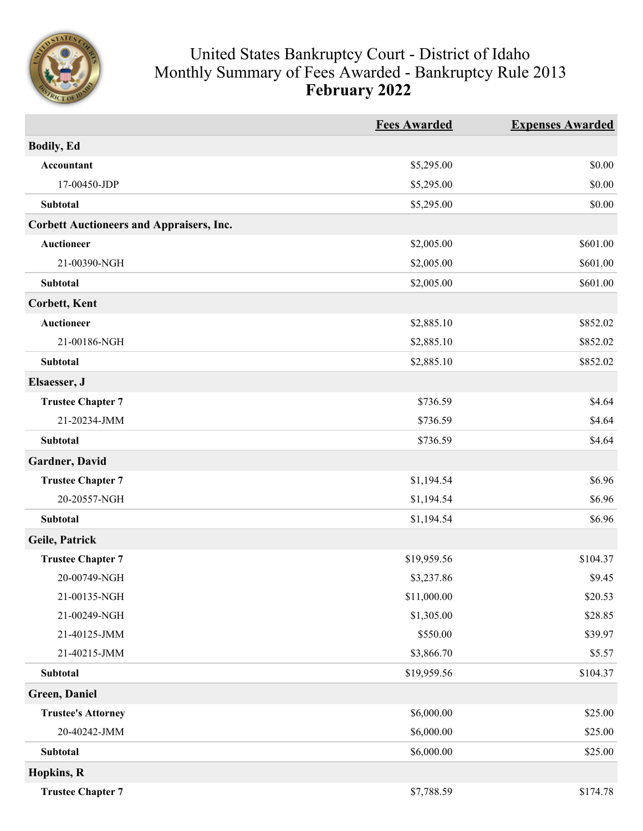

## United States Bankruptcy Court - District of Idaho Monthly Summary of Fees Awarded - Bankruptcy Rule 2013 **February 2022**

|                                                 | <b>Fees Awarded</b> | <b>Expenses Awarded</b> |
|-------------------------------------------------|---------------------|-------------------------|
| <b>Bodily, Ed</b>                               |                     |                         |
| Accountant                                      | \$5,295.00          | \$0.00                  |
| 17-00450-JDP                                    | \$5,295.00          | \$0.00                  |
| Subtotal                                        | \$5,295.00          | \$0.00                  |
| <b>Corbett Auctioneers and Appraisers, Inc.</b> |                     |                         |
| <b>Auctioneer</b>                               | \$2,005.00          | \$601.00                |
| 21-00390-NGH                                    | \$2,005.00          | \$601.00                |
| <b>Subtotal</b>                                 | \$2,005.00          | \$601.00                |
| <b>Corbett, Kent</b>                            |                     |                         |
| <b>Auctioneer</b>                               | \$2,885.10          | \$852.02                |
| 21-00186-NGH                                    | \$2,885.10          | \$852.02                |
| Subtotal                                        | \$2,885.10          | \$852.02                |
| Elsaesser, J                                    |                     |                         |
| <b>Trustee Chapter 7</b>                        | \$736.59            | \$4.64                  |
| 21-20234-JMM                                    | \$736.59            | \$4.64                  |
| <b>Subtotal</b>                                 | \$736.59            | \$4.64                  |
| Gardner, David                                  |                     |                         |
| <b>Trustee Chapter 7</b>                        | \$1,194.54          | \$6.96                  |
| 20-20557-NGH                                    | \$1,194.54          | \$6.96                  |
| <b>Subtotal</b>                                 | \$1,194.54          | \$6.96                  |
| Geile, Patrick                                  |                     |                         |
| <b>Trustee Chapter 7</b>                        | \$19,959.56         | \$104.37                |
| 20-00749-NGH                                    | \$3,237.86          | \$9.45                  |
| 21-00135-NGH                                    | \$11,000.00         | \$20.53                 |
| 21-00249-NGH                                    | \$1,305.00          | \$28.85                 |
| 21-40125-JMM                                    | \$550.00            | \$39.97                 |
| 21-40215-JMM                                    | \$3,866.70          | \$5.57                  |
| Subtotal                                        | \$19,959.56         | \$104.37                |
| Green, Daniel                                   |                     |                         |
| <b>Trustee's Attorney</b>                       | \$6,000.00          | \$25.00                 |
| 20-40242-JMM                                    | \$6,000.00          | \$25.00                 |
| Subtotal                                        | \$6,000.00          | \$25.00                 |
| Hopkins, R                                      |                     |                         |
| <b>Trustee Chapter 7</b>                        | \$7,788.59          | \$174.78                |